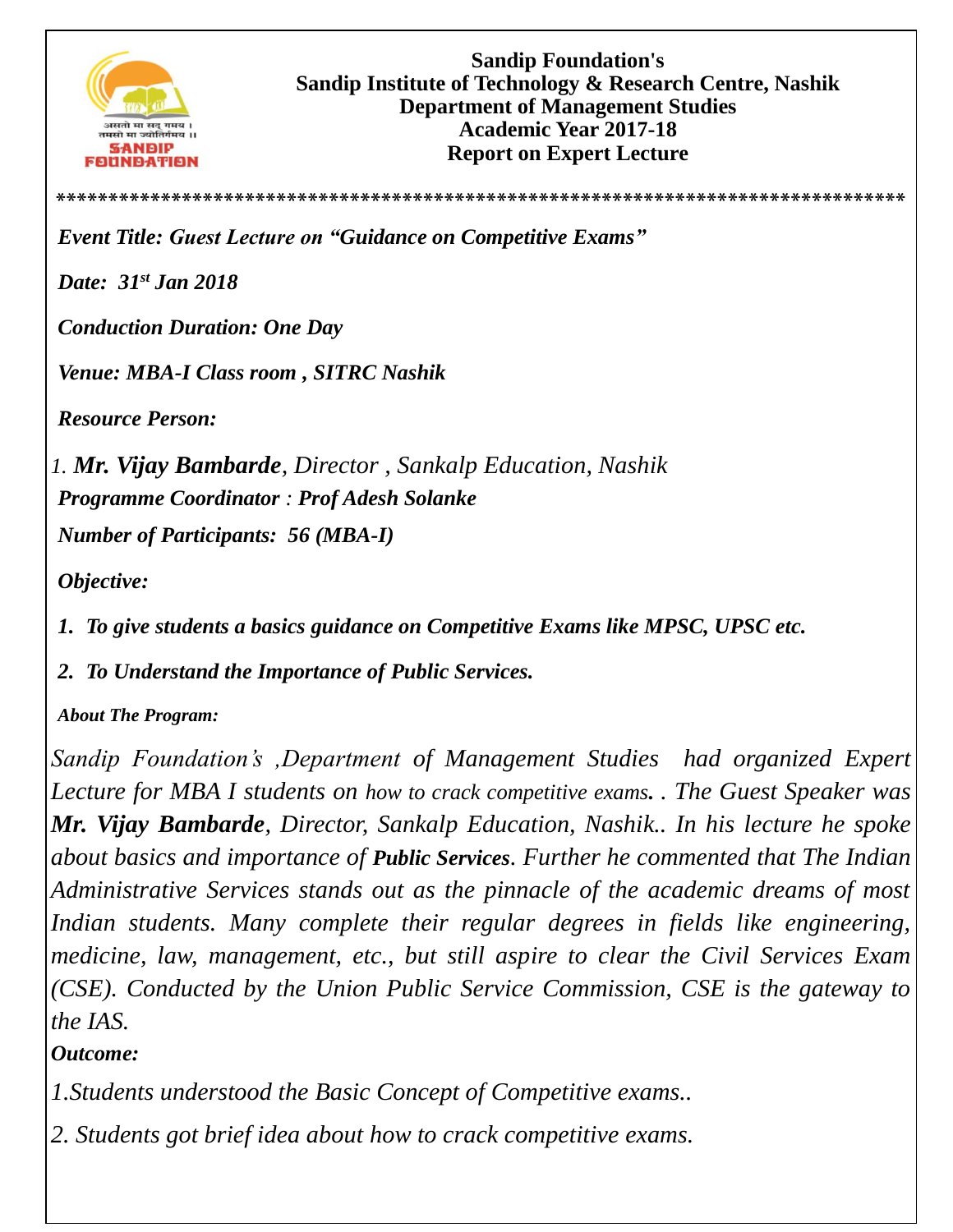

**\*\*\*\*\*\*\*\*\*\*\*\*\*\*\*\*\*\*\*\*\*\*\*\*\*\*\*\*\*\*\*\*\*\*\*\*\*\*\*\*\*\*\*\*\*\*\*\*\*\*\*\*\*\*\*\*\*\*\*\*\*\*\*\*\*\*\*\*\*\*\*\*\*\*\*\*\*\*\*\*\***

*Event Title: Guest Lecture on "Guidance on Competitive Exams"*

*Date: 31st Jan 2018*

*Conduction Duration: One Day* 

*Venue: MBA-I Class room , SITRC Nashik*

*Resource Person:* 

*1. Mr. Vijay Bambarde, Director , Sankalp Education, Nashik Programme Coordinator : Prof Adesh Solanke* 

*Number of Participants: 56 (MBA-I)*

*Objective:*

*1. To give students a basics guidance on Competitive Exams like MPSC, UPSC etc.*

*2. To Understand the Importance of Public Services.*

*About The Program:* 

*Sandip Foundation's ,Department of Management Studies had organized Expert Lecture for MBA I students on how to crack competitive exams. . The Guest Speaker was Mr. Vijay Bambarde, Director, Sankalp Education, Nashik.. In his lecture he spoke about basics and importance of Public Services. Further he commented that The Indian Administrative Services stands out as the pinnacle of the academic dreams of most Indian students. Many complete their regular degrees in fields like engineering, medicine, law, management, etc., but still aspire to clear the Civil Services Exam (CSE). Conducted by the Union Public Service Commission, CSE is the gateway to the IAS.*

*Outcome:*

*1.Students understood the Basic Concept of Competitive exams..*

*2. Students got brief idea about how to crack competitive exams.*